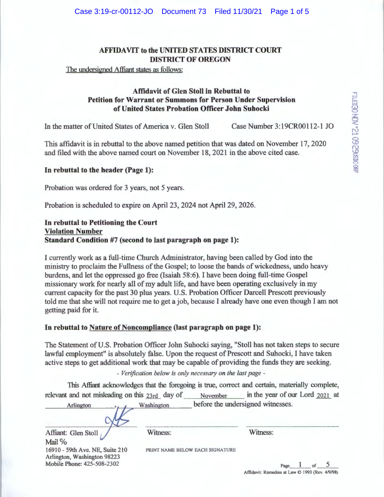The undersigned Affiant states as follows:

## **Affidavit of Glen Stoll in Rebuttal to Petition for Warrant or Summons for Person Under Supervision of United States Probation Officer John Suhocki**

In the matter of United States of America v. Glen Stoll Case Number 3:19CR00112-1 JO

This affidavit is in rebuttal to the above named petition that was dated on November 17, 2020 and filed with the above named court on November 18, 2021 in the above cited case.

### **In rebuttal to the header (Page 1):**

Probation was ordered for 3 years, not 5 years.

Probation is scheduled to expire on April 23, 2024 not April 29, 2026.

## **In rebuttal to Petitioning the Court Violation Number Standard Condition #7 (second to last paragraph on page 1):**

I currently work as a full-time Church Administrator, having been called by God into the ministry to proclaim the Fullness of the Gospel; to loose the bands of wickedness, undo heavy burdens, and let the oppressed go free (Isaiah 58:6). I have been doing full-time Gospel missionary work for nearly all of my adult life, and have been operating exclusively in my current capacity for the past 30 plus years. U.S. Probation Officer Darcell Prescott previously told me that she will not require me to get a job, because I already have one even though I am not getting paid for it.

## **In rebuttal to Nature of Noncompliance (last paragraph on page 1):**

Witness:

The Statement of U.S. Probation Officer John Suhocki saying, "Stoll has not taken steps to secure lawful employment" is absolutely false. Upon the request of Prescott and Suhocki, I have taken active steps to get additional work that may be capable of providing the funds they are seeking.

- *Verification below is only necessary on the last page* -

This Affiant acknowledges that the foregoing is true, correct and certain, materially complete, relevant and not misleading on this 23rd day of November in the year of our Lord 2021 at

| Arlington | Washington | before the undersigned witnesses. |  |
|-----------|------------|-----------------------------------|--|
|           |            |                                   |  |
|           |            |                                   |  |

Affiant: Glen Stoll Mail % 16910 - 59th Ave. NE, Suite 210 Arlington, Washington 98223 Mobile Phone: 425-508-2302

PRINT NAME BELOW EACH SIGNATURE

Witness: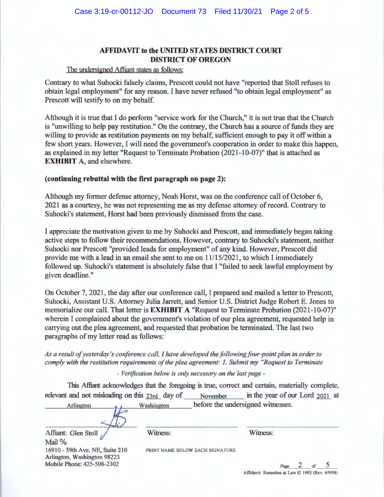#### The undersigned Affiant states as follows:

Contrary to what Suhocki falsely claims, Prescott could not have "reported that Stoll refuses to obtain legal employment" for any reason. I have never refused "to obtain legal employment" as Prescott will testify to on my behalf.

Although it is true that I do perform "service work for the Church," it is not true that the Church is "unwilling to help pay restitution." On the contrary, the Church has a source of funds they are willing to provide as restitution payments on my behalf, sufficient enough to pay it off within a few short years. However, I will need the government's cooperation in order to make this happen, as explained in my letter "Request to Terminate Probation (2021-10-07)" that is attached as **EXHIBIT A, and elsewhere.** 

## ( **continuing rebuttal with the first paragraph on page 2):**

Although my former defense attorney, Noah Horst, was on the conference call of October 6, 2021 as a courtesy, he was not representing me as my defense attorney ofrecord. Contrary to Suhocki's statement, Horst had been previously dismissed from the case.

I appreciate the motivation given to me by Suhocki and Prescott, and immediately began taking active steps to follow their recommendations. However, contrary to Suhocki's statement, neither Suhocki nor Prescott "provided leads for employment" of any kind. However, Prescott did provide me with a lead in an email she sent to me on 11/15/2021, to which I immediately followed up. Suhocki's statement is absolutely false that I "failed to seek lawful employment by given deadline."

On October 7, 2021, the day after our conference call, I prepared and mailed a letter to Prescott, Suhocki, Assistant U.S. Attorney Julia Jarrett, and Senior U.S. District Judge Robert E. Jones to memorialize our call. That letter is **EXHIBIT A** "Request to Terminate Probation (2021-10-07)" wherein I complained about the government's violation of our plea agreement, requested help in carrying out the plea agreement, and requested that probation be terminated. The last two paragraphs of my letter read as follows:

*As a result of yesterday's conference call, I have developed the following four-point plan in order to comply with the restitution requirements of the plea agreement: I. Submit my "Request to Terminate* 

- *Verification below is only necessary on the last page* -

This Affiant acknowledges that the foregoing is true, correct and certain, materially complete, relevant and not misleading on this 23rd day of November in the year of our Lord 2021 at

| Arlington                                       | Washington | before the undersigned witnesses. |  |  |
|-------------------------------------------------|------------|-----------------------------------|--|--|
|                                                 |            |                                   |  |  |
| Affiant: Glen Stoll<br>and the same officers of | Witness:   | Witness:                          |  |  |

Mail  $%$ 16910 - 59th Ave. NE, Suite 210 Arlington, Washington 98223 Mobile Phone: 425-508-2302

PRINT NAME BELOW EACH SIGNATURE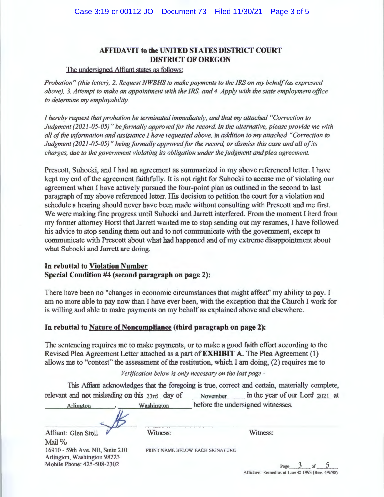#### The undersigned Affiant states as follows:

*Probation" (this letter), 2. Request NWBHS to make payments to the IRS on my behalf (as expressed above), 3. Attempt to make an appointment with the IRS, and 4. Apply with the state employment office to determine my employability.* 

*I hereby request that probation be terminated immediately, and that my attached "Correction to Judgment (2021-05-05)" be formally approved for the record In the alternative, please provide me with all of the information and assistance I have requested above, in addition to my attached "Correction to Judgment (2021-05-05)" being formally approved for the record, or dismiss this case and all of its charges, due to the government violating its obligation under the judgment and plea agreement.* 

Prescott, Suhocki, and I had an agreement as summarized in my above referenced letter. I have kept my end of the agreement faithfully. It is not right for Suhocki to accuse me of violating our agreement when I have actively pursued the four-point plan as outlined in the second to last paragraph of my above referenced letter. His decision to petition the court for a violation and schedule a hearing should never have been made without consulting with Prescott and me first. We were making fine progress until Suhocki and Jarrett interfered. From the moment I herd from my former attorney Horst that Jarrett wanted me to stop sending out my resumes, I have followed his advice to stop sending them out and to not communicate with the government, except to communicate with Prescott about what had happened and of my extreme disappointment about what Suhocki and Jarrett are doing.

## **In rebuttal to Violation Number Special Condition #4 (second paragraph on page 2):**

There have been no "changes in economic circumstances that might affect" my ability to pay. I am no more able to pay now than I have ever been, with the exception that the Church I work for is willing and able to make payments on my behalf as explained above and elsewhere.

### **In rebuttal to Nature of Noncompliance (third paragraph on page 2):**

The sentencing requires me to make payments, or to make a good faith effort according to the Revised Plea Agreement Letter attached as a part of **EXHIBIT A.** The Plea Agreement ( 1) allows me to "contest" the assessment of the restitution, which I am doing, (2) requires me to

### - *Verification below is only necessary on the last page* -

This Afliant acknowledges that the foregoing is true, correct and certain, materially complete, relevant and not misleading on this  $23rd$  day of November in the year of our Lord  $2021$  at

PRINT NAME BELOW EACH SIGNATURE

Arlington , Washington before the undersigned witnesses. *~·15\_* 

Affiant: Glen Stoll *Witness*: Witness: Mail % 16910 - 59th Ave. NE, Suite 210 Arlington, Washington 98223 Mobile Phone: 425-508-2302

Page 3 of 5 Affidavit: Remedies at Law **O** 1993 (Rev. 4/9/98)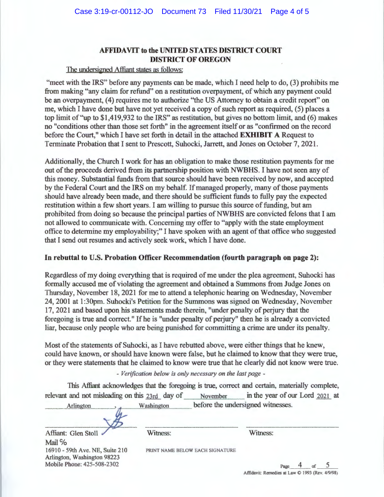### The undersigned Affiant states as follows:

"meet with the IRS" before any payments can be made, which I need help to do, (3) prohibits me from making "any claim for refund" on a restitution overpayment, of which any payment could be an overpayment, (4) requires me to authorize "the US Attorney to obtain a credit report" on me, which I have done but have not yet received a copy of such report as required, (5) places a top limit of "up to \$1 ,419,932 to the IRS" as restitution, but gives no bottom limit, and (6) makes no "conditions other than those set forth" in the agreement itself or as "confirmed on the record before the Court," which I have set forth in detail in the attached **EXHIBIT A** Request to Terminate Probation that I sent to Prescott, Suhocki, Jarrett, and Jones on October 7, 2021.

Additionally, the Church I work for has an obligation to make those restitution payments for me out of the proceeds derived from its partnership position with NWBHS. I have not seen any of this money. Substantial funds from that source should have been received by now, and accepted by the Federal Court and the IRS on my behalf. If managed properly, many of those payments should have already been made, and there should be sufficient funds to fully pay the expected restitution within a few short years. I am willing to pursue this source of funding, but am prohibited from doing so because the principal parties of NWBHS are convicted felons that I am not allowed to communicate with. Concerning my offer to "apply with the state employment office to determine my employability;" I have spoken with an agent of that office who suggested that I send out resumes and actively seek work, which I have done.

### **In rebuttal to U.S. Probation Officer Recommendation (fourth paragraph on page 2):**

Regardless of my doing everything that is required of me under the plea agreement, Suhocki has formally accused me of violating the agreement and obtained a Summons from Judge Jones on Thursday, November 18, 2021 for me to attend a telephonic hearing on Wednesday, November 24, 2001 at 1:30pm. Suhocki's Petition for the Summons was signed on Wednesday, November 17, 2021 and based upon his statements made therein, "under penalty of perjury that the foregoing is true and correct." If he is "under penalty of perjury" then he is already a convicted liar, because only people who are being punished for committing a crime are under its penalty.

Most of the statements of Suhocki, as I have rebutted above, were either things that he knew, could have known, or should have known were false, but he claimed to know that they were true, or they were statements that he claimed to know were true that he clearly did not know were true.

#### - *Verification below is only necessary on the last page* -

This Affiant acknowledges that the foregoing is true, correct and certain, materially complete, relevant and not misleading on this 23rd day of November in the year of our Lord 2021 at

PRINT NAME BELOW EACH SIGNATURE

| Arlington | Washington | before the undersigned witnesses. |  |
|-----------|------------|-----------------------------------|--|
|           |            |                                   |  |

Affiant: Glen Stoll **3. Witness:** Witness: Witness: Mail % 16910 - 59th Ave. NE, Suite 210 Arlington, Washington 98223 Mobile Phone: 425-508-2302

Page **4** of **5**  Affidavit: Remedies at Law **O** 1993 (Rev. 4/9/98)